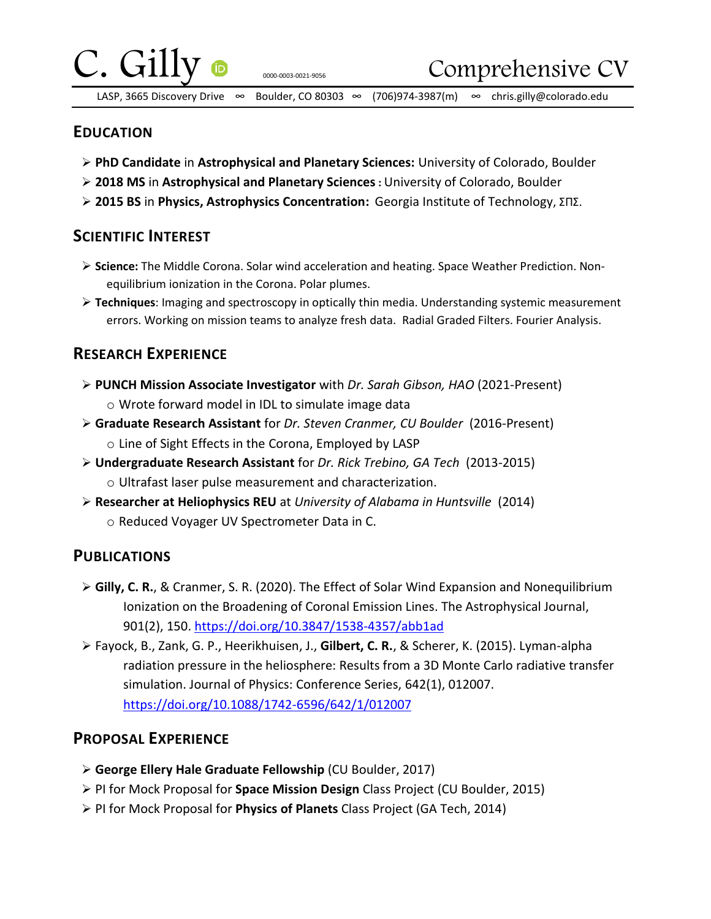

0000-0003-0021-9056

Comprehensive CV

LASP, 3665 Discovery Drive ∞ Boulder, CO 80303 ∞ (706)974-3987(m) ∞ chris.gilly@colorado.edu

### **EDUCATION**

- **PhD Candidate** in **Astrophysical and Planetary Sciences:** University of Colorado, Boulder
- **2018 MS** in **Astrophysical and Planetary Sciences:** University of Colorado, Boulder
- **2015 BS** in **Physics, Astrophysics Concentration:** Georgia Institute of Technology, ΣΠΣ.

## **SCIENTIFIC INTEREST**

- **Science:** The Middle Corona. Solar wind acceleration and heating. Space Weather Prediction. Nonequilibrium ionization in the Corona. Polar plumes.
- **Techniques**: Imaging and spectroscopy in optically thin media. Understanding systemic measurement errors. Working on mission teams to analyze fresh data. Radial Graded Filters. Fourier Analysis.

# **RESEARCH EXPERIENCE**

- **PUNCH Mission Associate Investigator** with *Dr. Sarah Gibson, HAO* (2021-Present) o Wrote forward model in IDL to simulate image data
- **Graduate Research Assistant** for *Dr. Steven Cranmer, CU Boulder* (2016-Present) o Line of Sight Effects in the Corona, Employed by LASP
- **Undergraduate Research Assistant** for *Dr. Rick Trebino, GA Tech* (2013-2015) o Ultrafast laser pulse measurement and characterization.
- **Researcher at Heliophysics REU** at *University of Alabama in Huntsville* (2014) o Reduced Voyager UV Spectrometer Data in C.

# **PUBLICATIONS**

- **Gilly, C. R.**, & Cranmer, S. R. (2020). The Effect of Solar Wind Expansion and Nonequilibrium Ionization on the Broadening of Coronal Emission Lines. The Astrophysical Journal, 901(2), 150.<https://doi.org/10.3847/1538-4357/abb1ad>
- Fayock, B., Zank, G. P., Heerikhuisen, J., **Gilbert, C. R.**, & Scherer, K. (2015). Lyman-alpha radiation pressure in the heliosphere: Results from a 3D Monte Carlo radiative transfer simulation. Journal of Physics: Conference Series, 642(1), 012007. <https://doi.org/10.1088/1742-6596/642/1/012007>

## **PROPOSAL EXPERIENCE**

- **George Ellery Hale Graduate Fellowship** (CU Boulder, 2017)
- PI for Mock Proposal for **Space Mission Design** Class Project (CU Boulder, 2015)
- PI for Mock Proposal for **Physics of Planets** Class Project (GA Tech, 2014)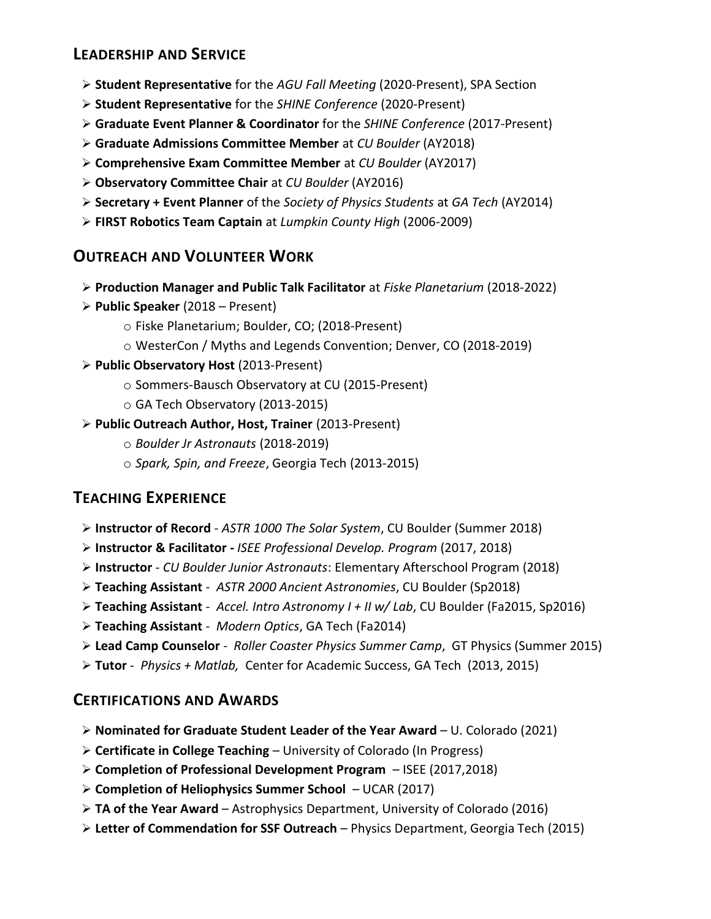## **LEADERSHIP AND SERVICE**

- **Student Representative** for the *AGU Fall Meeting* (2020-Present), SPA Section
- **Student Representative** for the *SHINE Conference* (2020-Present)
- **Graduate Event Planner & Coordinator** for the *SHINE Conference* (2017-Present)
- **Graduate Admissions Committee Member** at *CU Boulder* (AY2018)
- **Comprehensive Exam Committee Member** at *CU Boulder* (AY2017)
- **Observatory Committee Chair** at *CU Boulder* (AY2016)
- **Secretary + Event Planner** of the *Society of Physics Students* at *GA Tech* (AY2014)
- **FIRST Robotics Team Captain** at *Lumpkin County High* (2006-2009)

## **OUTREACH AND VOLUNTEER WORK**

- **Production Manager and Public Talk Facilitator** at *Fiske Planetarium* (2018-2022)
- **Public Speaker** (2018 Present)
	- o Fiske Planetarium; Boulder, CO; (2018-Present)
	- o WesterCon / Myths and Legends Convention; Denver, CO (2018-2019)
- **Public Observatory Host** (2013-Present)
	- o Sommers-Bausch Observatory at CU (2015-Present)
	- o GA Tech Observatory (2013-2015)
- **Public Outreach Author, Host, Trainer** (2013-Present)
	- o *Boulder Jr Astronauts* (2018-2019)
	- o *Spark, Spin, and Freeze*, Georgia Tech (2013-2015)

## **TEACHING EXPERIENCE**

- **Instructor of Record** *ASTR 1000 The Solar System*, CU Boulder (Summer 2018)
- **Instructor & Facilitator -** *ISEE Professional Develop. Program* (2017, 2018)
- **Instructor** *CU Boulder Junior Astronauts*: Elementary Afterschool Program (2018)
- **Teaching Assistant** *ASTR 2000 Ancient Astronomies*, CU Boulder (Sp2018)
- **Teaching Assistant** *Accel. Intro Astronomy I + II w/ Lab*, CU Boulder (Fa2015, Sp2016)
- **Teaching Assistant** *Modern Optics*, GA Tech (Fa2014)
- **Lead Camp Counselor** *Roller Coaster Physics Summer Camp*, GT Physics (Summer 2015)
- **Tutor** *Physics + Matlab,* Center for Academic Success, GA Tech (2013, 2015)

## **CERTIFICATIONS AND AWARDS**

- **Nominated for Graduate Student Leader of the Year Award**  U. Colorado (2021)
- **Certificate in College Teaching**  University of Colorado (In Progress)
- **Completion of Professional Development Program**  ISEE (2017,2018)
- **Completion of Heliophysics Summer School**  UCAR (2017)
- **TA of the Year Award**  Astrophysics Department, University of Colorado (2016)
- **Letter of Commendation for SSF Outreach**  Physics Department, Georgia Tech (2015)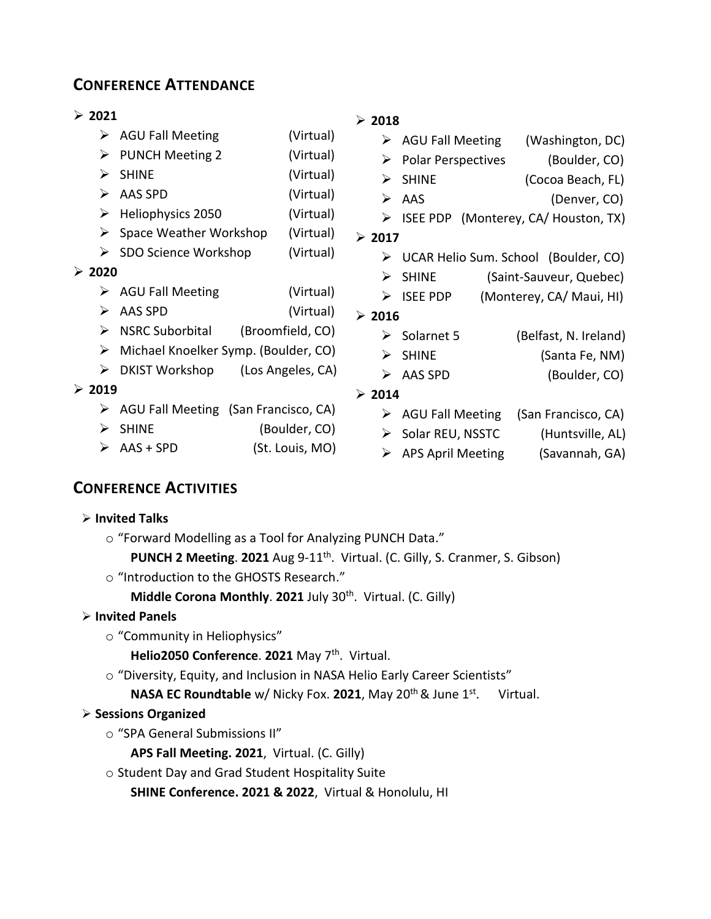## **CONFERENCE ATTENDANCE**

 $\triangleright$  AGU Fall Meeting  $\triangleright$  PUNCH Meeting 2

 $\triangleright$  Heliophysics 2050

 $\triangleright$  SHINE  $\triangleright$  AAS SPD

#### **2021**

| $\geqslant$ 2018                    |  |  |  |  |
|-------------------------------------|--|--|--|--|
| $\triangleright$ AGU Fall Meeting   |  |  |  |  |
| $\triangleright$ Polar Perspectives |  |  |  |  |
|                                     |  |  |  |  |
|                                     |  |  |  |  |
| ISEE PDP (Monter                    |  |  |  |  |
|                                     |  |  |  |  |

- $\triangleright$  Space Weather Workshop (Virtual)
- $\triangleright$  SDO Science Workshop (Virtual)

#### **2020**

- > AGU Fall Meeting (Virtual)
- AAS SPD (Virtual)
- $\triangleright$  NSRC Suborbital (Broomfield, CO)
- Michael Knoelker Symp. (Boulder, CO)
- $\triangleright$  DKIST Workshop (Los Angeles, CA)

#### **2019**

- $\triangleright$  AGU Fall Meeting (San Francisco, CA)
- SHINE (Boulder, CO)
- $\triangleright$  AAS + SPD (St. Louis, MO)

#### **2018**

|        | $\triangleright$ AGU Fall Meeting    |  | (Washington, DC)                       |
|--------|--------------------------------------|--|----------------------------------------|
|        | $\triangleright$ Polar Perspectives  |  | (Boulder, CO)                          |
| ⋗      | <b>SHINE</b>                         |  | (Cocoa Beach, FL)                      |
|        | $\triangleright$ AAS                 |  | (Denver, CO)                           |
|        |                                      |  | > ISEE PDP (Monterey, CA/ Houston, TX) |
| > 2017 |                                      |  |                                        |
| ➤      | UCAR Helio Sum. School (Boulder, CO) |  |                                        |
| ⋗      | <b>SHINE</b>                         |  | (Saint-Sauveur, Quebec)                |
|        | $\triangleright$ ISEE PDP            |  | (Monterey, CA/ Maui, HI)               |
| > 2016 |                                      |  |                                        |
|        | $\triangleright$ Solarnet 5          |  | (Belfast, N. Ireland)                  |
| ⋗      | <b>SHINE</b>                         |  | (Santa Fe, NM)                         |
| ⋗      | AAS SPD                              |  | (Boulder, CO)                          |
|        |                                      |  |                                        |

#### **2014**

- $\triangleright$  AGU Fall Meeting (San Francisco, CA)
- ▶ Solar REU, NSSTC (Huntsville, AL)
- APS April Meeting (Savannah, GA)

## **CONFERENCE ACTIVITIES**

#### **Invited Talks**

- o "Forward Modelling as a Tool for Analyzing PUNCH Data."
	- **PUNCH 2 Meeting**. **2021** Aug 9-11th . Virtual. (C. Gilly, S. Cranmer, S. Gibson)
- o "Introduction to the GHOSTS Research."

**Middle Corona Monthly**. **2021** July 30th . Virtual. (C. Gilly)

### **Invited Panels**

o "Community in Heliophysics"

Helio2050 Conference. 2021 May 7<sup>th</sup>. Virtual.

o "Diversity, Equity, and Inclusion in NASA Helio Early Career Scientists"

**NASA EC Roundtable** w/ Nicky Fox. 2021, May 20<sup>th</sup> & June 1st. . Virtual.

### **Sessions Organized**

- o "SPA General Submissions II"
	- **APS Fall Meeting. 2021**, Virtual. (C. Gilly)
- o Student Day and Grad Student Hospitality Suite

**SHINE Conference. 2021 & 2022**,Virtual & Honolulu, HI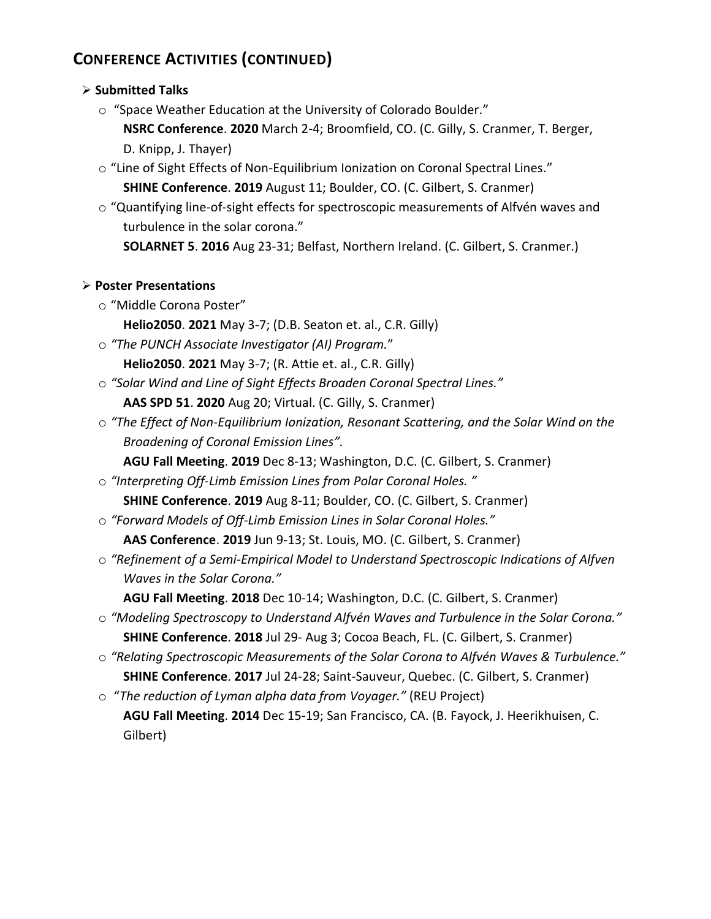# **CONFERENCE ACTIVITIES (CONTINUED)**

#### **Submitted Talks**

o "Space Weather Education at the University of Colorado Boulder."

**NSRC Conference**. **2020** March 2-4; Broomfield, CO. (C. Gilly, S. Cranmer, T. Berger, D. Knipp, J. Thayer)

 $\circ$  "Line of Sight Effects of Non-Equilibrium Ionization on Coronal Spectral Lines."

**SHINE Conference**. **2019** August 11; Boulder, CO. (C. Gilbert, S. Cranmer)

o "Quantifying line-of-sight effects for spectroscopic measurements of Alfvén waves and turbulence in the solar corona."

**SOLARNET 5**. **2016** Aug 23-31; Belfast, Northern Ireland. (C. Gilbert, S. Cranmer.)

#### **Poster Presentations**

- o "Middle Corona Poster"
	- **Helio2050**. **2021** May 3-7; (D.B. Seaton et. al., C.R. Gilly)
- o *"The PUNCH Associate Investigator (AI) Program.*" **Helio2050**. **2021** May 3-7; (R. Attie et. al., C.R. Gilly)
- o *"Solar Wind and Line of Sight Effects Broaden Coronal Spectral Lines."* **AAS SPD 51**. **2020** Aug 20; Virtual. (C. Gilly, S. Cranmer)
- o *"The Effect of Non-Equilibrium Ionization, Resonant Scattering, and the Solar Wind on the Broadening of Coronal Emission Lines".*

**AGU Fall Meeting**. **2019** Dec 8-13; Washington, D.C. (C. Gilbert, S. Cranmer)

- o *"Interpreting Off-Limb Emission Lines from Polar Coronal Holes. "* **SHINE Conference**. **2019** Aug 8-11; Boulder, CO. (C. Gilbert, S. Cranmer)
- o *"Forward Models of Off-Limb Emission Lines in Solar Coronal Holes."* **AAS Conference**. **2019** Jun 9-13; St. Louis, MO. (C. Gilbert, S. Cranmer)
- o *"Refinement of a Semi-Empirical Model to Understand Spectroscopic Indications of Alfven Waves in the Solar Corona."*

**AGU Fall Meeting**. **2018** Dec 10-14; Washington, D.C. (C. Gilbert, S. Cranmer)

- o *"Modeling Spectroscopy to Understand Alfvén Waves and Turbulence in the Solar Corona."* **SHINE Conference**. **2018** Jul 29- Aug 3; Cocoa Beach, FL. (C. Gilbert, S. Cranmer)
- o *"Relating Spectroscopic Measurements of the Solar Corona to Alfvén Waves & Turbulence."* **SHINE Conference**. **2017** Jul 24-28; Saint-Sauveur, Quebec. (C. Gilbert, S. Cranmer)
- o "*The reduction of Lyman alpha data from Voyager."* (REU Project) **AGU Fall Meeting**. **2014** Dec 15-19; San Francisco, CA. (B. Fayock, J. Heerikhuisen, C. Gilbert)